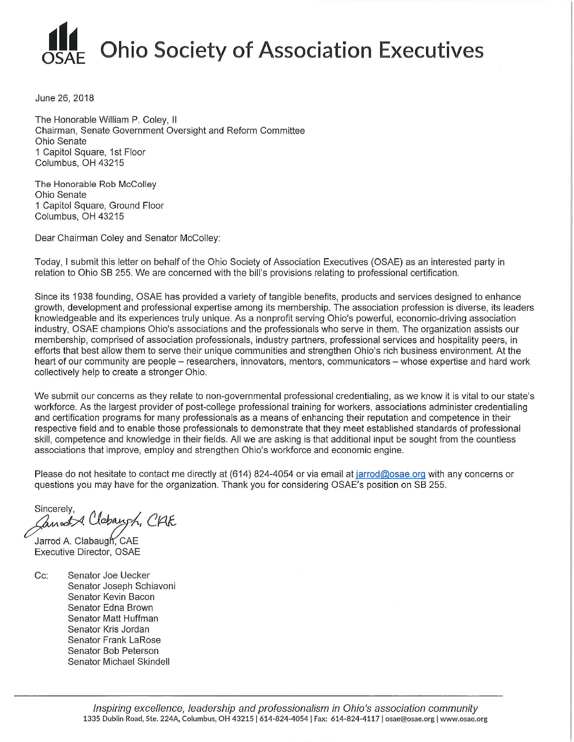

June 26, 2018

The Honorable William P. Coley, II Chairman, Senate Government Oversight and Reform Committee Ohio Senate 1 Capitol Square, 1st Floor Columbus, OH 43215

The Honorable Rob McColley Ohio Senate 1 Capitol Square, Ground Floor Columbus, OH 43215

Dear Chairman Coley and Senator McColley:

Today, I submit this letter on behalf of the Ohio Society of Association Executives (OSAE) as an interested party in relation to Ohio SB 255. We are concerned with the bill's provisions relating to professional certification.

Since its 1938 founding, OSAE has provided a variety of tangible benefits, products and services designed to enhance growth, development and professional expertise among its membership. The association profession is diverse, its leaders knowledgeable and its experiences truly unique. As a nonprofit serving Ohio's powerful, economic-driving association industry. OSAE champions Ohio's associations and the professionals who serve in them. The organization assists our membership, comprised of association professionals, industry partners, professional services and hospitality peers, in efforts that best allow them to serve their unique communities and strengthen Ohio's rich business environment. At the heart of our community are people - researchers, innovators, mentors, communicators - whose expertise and hard work collectively help to create a stronger Ohio.

We submit our concerns as they relate to non-governmental professional credentialing, as we know it is vital to our state's workforce. As the largest provider of post-college professional training for workers, associations administer credentialing and certification programs for many professionals as a means of enhancing their reputation and competence in their respective field and to enable those professionals to demonstrate that they meet established standards of professional skill, competence and knowledge in their fields. All we are asking is that additional input be sought from the countless associations that improve, employ and strengthen Ohio's workforce and economic engine.

Please do not hesitate to contact me directly at (614) 824-4054 or via email at jarrod@osae.org with any concerns or questions you may have for the organization. Thank you for considering OSAE's position on SB 255.

Sincerely, Cannot & Clebangh, CAE

Jarrod A. Clabaugh, CAE Executive Director, OSAE

 $Cc$ Senator Joe Uecker Senator Joseph Schiavoni Senator Kevin Bacon Senator Edna Brown Senator Matt Huffman Senator Kris Jordan **Senator Frank LaRose** Senator Bob Peterson Senator Michael Skindell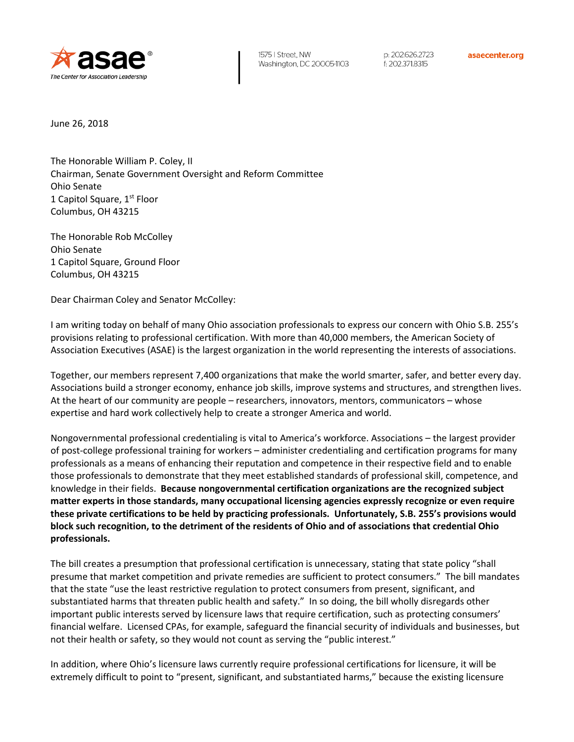

p: 202.626.2723 f: 202.371.8315

asaecenter.org

June 26, 2018

The Honorable William P. Coley, II Chairman, Senate Government Oversight and Reform Committee Ohio Senate 1 Capitol Square, 1<sup>st</sup> Floor Columbus, OH 43215

The Honorable Rob McColley Ohio Senate 1 Capitol Square, Ground Floor Columbus, OH 43215

Dear Chairman Coley and Senator McColley:

I am writing today on behalf of many Ohio association professionals to express our concern with Ohio S.B. 255's provisions relating to professional certification. With more than 40,000 members, the American Society of Association Executives (ASAE) is the largest organization in the world representing the interests of associations.

Together, our members represent 7,400 organizations that make the world smarter, safer, and better every day. Associations build a stronger economy, enhance job skills, improve systems and structures, and strengthen lives. At the heart of our community are people – researchers, innovators, mentors, communicators – whose expertise and hard work collectively help to create a stronger America and world.

Nongovernmental professional credentialing is vital to America's workforce. Associations – the largest provider of post-college professional training for workers – administer credentialing and certification programs for many professionals as a means of enhancing their reputation and competence in their respective field and to enable those professionals to demonstrate that they meet established standards of professional skill, competence, and knowledge in their fields. **Because nongovernmental certification organizations are the recognized subject matter experts in those standards, many occupational licensing agencies expressly recognize or even require these private certifications to be held by practicing professionals. Unfortunately, S.B. 255's provisions would block such recognition, to the detriment of the residents of Ohio and of associations that credential Ohio professionals.**

The bill creates a presumption that professional certification is unnecessary, stating that state policy "shall presume that market competition and private remedies are sufficient to protect consumers." The bill mandates that the state "use the least restrictive regulation to protect consumers from present, significant, and substantiated harms that threaten public health and safety." In so doing, the bill wholly disregards other important public interests served by licensure laws that require certification, such as protecting consumers' financial welfare. Licensed CPAs, for example, safeguard the financial security of individuals and businesses, but not their health or safety, so they would not count as serving the "public interest."

In addition, where Ohio's licensure laws currently require professional certifications for licensure, it will be extremely difficult to point to "present, significant, and substantiated harms," because the existing licensure